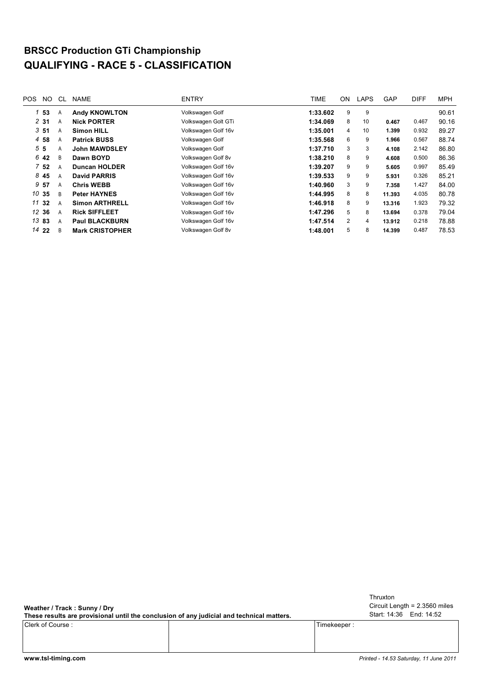## **BRSCC Production GTi Championship QUALIFYING - RACE 5 - CLASSIFICATION**

| POS. | NO.             | CL. | <b>NAME</b>            | <b>ENTRY</b>        | TIME     | ON             | <b>LAPS</b> | <b>GAP</b> | <b>DIFF</b> | <b>MPH</b> |
|------|-----------------|-----|------------------------|---------------------|----------|----------------|-------------|------------|-------------|------------|
| 1    | 53              | A   | <b>Andy KNOWLTON</b>   | Volkswagen Golf     | 1:33.602 | 9              | 9           |            |             | 90.61      |
|      | 231             | A   | <b>Nick PORTER</b>     | Volkswagen Golt GTi | 1:34.069 | 8              | 10          | 0.467      | 0.467       | 90.16      |
|      | 351             | A   | <b>Simon HILL</b>      | Volkswagen Golf 16v | 1:35.001 | 4              | 10          | 1.399      | 0.932       | 89.27      |
| 4    | 58              | A   | <b>Patrick BUSS</b>    | Volkswagen Golf     | 1:35.568 | 6              | 9           | 1.966      | 0.567       | 88.74      |
|      | 55              | A   | <b>John MAWDSLEY</b>   | Volkswagen Golf     | 1:37.710 | 3              | 3           | 4.108      | 2.142       | 86.80      |
|      | 6 42            | B   | Dawn BOYD              | Volkswagen Golf 8v  | 1:38.210 | 8              | 9           | 4.608      | 0.500       | 86.36      |
|      | 7 <sub>52</sub> | A   | <b>Duncan HOLDER</b>   | Volkswagen Golf 16v | 1:39.207 | 9              | 9           | 5.605      | 0.997       | 85.49      |
| 8    | 45              | A   | <b>David PARRIS</b>    | Volkswagen Golf 16v | 1:39.533 | 9              | 9           | 5.931      | 0.326       | 85.21      |
| 9    | -57             | A   | <b>Chris WEBB</b>      | Volkswagen Golf 16v | 1:40.960 | 3              | 9           | 7.358      | 1.427       | 84.00      |
|      | 10 35           | B   | <b>Peter HAYNES</b>    | Volkswagen Golf 16v | 1:44.995 | 8              | 8           | 11.393     | 4.035       | 80.78      |
|      | 11 32           | A   | <b>Simon ARTHRELL</b>  | Volkswagen Golf 16v | 1:46.918 | 8              | 9           | 13.316     | 1.923       | 79.32      |
|      | 12 36           | A   | <b>Rick SIFFLEET</b>   | Volkswagen Golf 16v | 1:47.296 | 5              | 8           | 13.694     | 0.378       | 79.04      |
|      | 13 83           | A   | <b>Paul BLACKBURN</b>  | Volkswagen Golf 16v | 1:47.514 | $\overline{2}$ | 4           | 13.912     | 0.218       | 78.88      |
|      | 14 22           | B   | <b>Mark CRISTOPHER</b> | Volkswagen Golf 8v  | 1:48.001 | 5              | 8           | 14.399     | 0.487       | 78.53      |
|      |                 |     |                        |                     |          |                |             |            |             |            |

**Weather / Track : Sunny / Dry**

**These results are provisional until the conclusion of any judicial and technical matters.**

Clerk of Course : Timekeeper :

Circuit Length = 2.3560 miles Start: 14:36 End: 14:52 Thruxton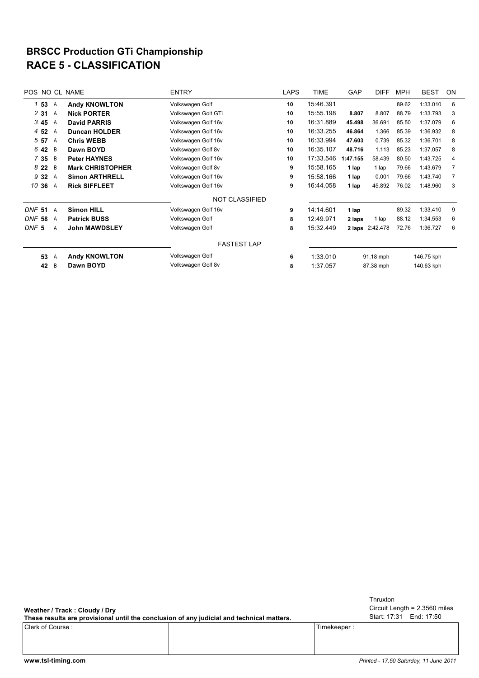## **RACE 5 - CLASSIFICATION BRSCC Production GTi Championship**

| <b>POS</b>       |                | NO CL NAME              | <b>ENTRY</b>          | <b>LAPS</b> | <b>TIME</b> | GAP       | <b>DIFF</b>     | <b>MPH</b> | <b>BEST</b> | ON |
|------------------|----------------|-------------------------|-----------------------|-------------|-------------|-----------|-----------------|------------|-------------|----|
| 153              | A              | <b>Andy KNOWLTON</b>    | Volkswagen Golf       | 10          | 15:46.391   |           |                 | 89.62      | 1:33.010    | 6  |
| 2 3 1            | A              | <b>Nick PORTER</b>      | Volkswagen Golt GTi   | 10          | 15:55.198   | 8.807     | 8.807           | 88.79      | 1:33.793    | 3  |
| 345              | A              | <b>David PARRIS</b>     | Volkswagen Golf 16v   | 10          | 16:31.889   | 45.498    | 36.691          | 85.50      | 1:37.079    | 6  |
| 4 52             | A              | <b>Duncan HOLDER</b>    | Volkswagen Golf 16v   | 10          | 16:33.255   | 46.864    | 1.366           | 85.39      | 1:36.932    | 8  |
| 5 57             | A              | <b>Chris WEBB</b>       | Volkswagen Golf 16v   | 10          | 16:33.994   | 47.603    | 0.739           | 85.32      | 1:36.701    | 8  |
| 6 42             | B              | Dawn BOYD               | Volkswagen Golf 8v    | 10          | 16:35.107   | 48.716    | 1.113           | 85.23      | 1:37.057    | 8  |
| 735              | B              | <b>Peter HAYNES</b>     | Volkswagen Golf 16v   | 10          | 17:33.546   | 1:47.155  | 58.439          | 80.50      | 1:43.725    | 4  |
| 822              | B              | <b>Mark CHRISTOPHER</b> | Volkswagen Golf 8v    | 9           | 15:58.165   | 1 lap     | 1 lap           | 79.66      | 1:43.679    |    |
| 9 3 2            | A              | <b>Simon ARTHRELL</b>   | Volkswagen Golf 16v   | 9           | 15:58.166   | 1 lap     | 0.001           | 79.66      | 1:43.740    | 7  |
| 10 36 A          |                | <b>Rick SIFFLEET</b>    | Volkswagen Golf 16v   | 9           | 16:44.058   | 1 lap     | 45.892          | 76.02      | 1:48.960    | 3  |
|                  |                |                         | <b>NOT CLASSIFIED</b> |             |             |           |                 |            |             |    |
| <b>DNF 51</b>    | $\overline{A}$ | <b>Simon HILL</b>       | Volkswagen Golf 16v   | 9           | 14:14.601   | 1 lap     |                 | 89.32      | 1:33.410    | 9  |
| DNF<br>58        | A              | <b>Patrick BUSS</b>     | Volkswagen Golf       | 8           | 12:49.971   | 2 laps    | 1 lap           | 88.12      | 1:34.553    | 6  |
| DNF <sub>5</sub> | A              | John MAWDSLEY           | Volkswagen Golf       | 8           | 15:32.449   |           | 2 laps 2:42.478 | 72.76      | 1:36.727    | 6  |
|                  |                |                         | <b>FASTEST LAP</b>    |             |             |           |                 |            |             |    |
| 53               | A              | <b>Andy KNOWLTON</b>    | Volkswagen Golf       | 6           | 1:33.010    | 91.18 mph |                 | 146.75 kph |             |    |
| 42               | B              | Dawn BOYD               | Volkswagen Golf 8v    | 8           | 1:37.057    |           | 87.38 mph       |            | 140.63 kph  |    |

**Weather / Track : Cloudy / Dry**

Clerk of Course : Timekeeper : **These results are provisional until the conclusion of any judicial and technical matters.**

Circuit Length = 2.3560 miles Start: 17:31 End: 17:50 Thruxton